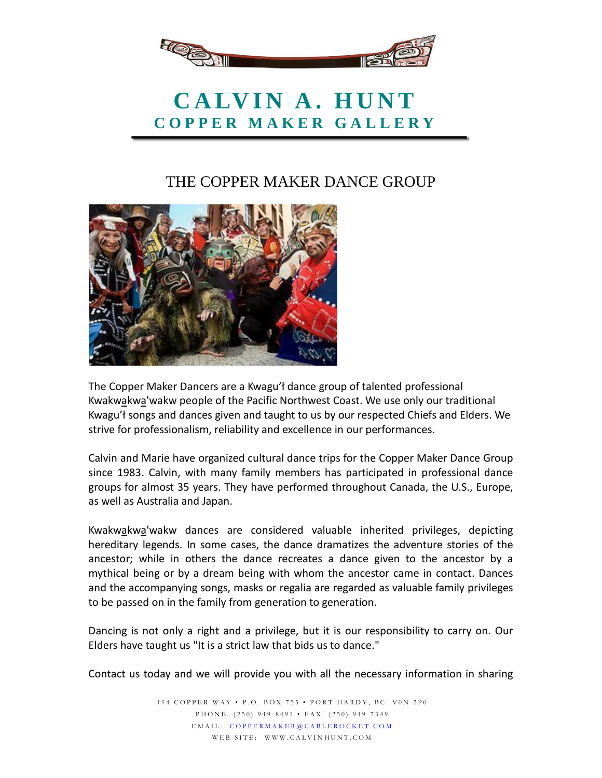

## **CALVIN A. HUNT COPPER MAKER GALLERY**

## THE COPPER MAKER DANCE GROUP



The Copper Maker Dancers are a Kwagu'ł dance group of talented professional Kwakwakwa'wakw people of the Pacific Northwest Coast. We use only our traditional Kwagu'ł songs and dances given and taught to us by our respected Chiefs and Elders. We strive for professionalism, reliability and excellence in our performances.

Calvin and Marie have organized cultural dance trips for the Copper Maker Dance Group since 1983. Calvin, with many family members has participated in professional dance groups for almost 35 years. They have performed throughout Canada, the U.S., Europe, as well as Australia and Japan.

Kwakwakwa'wakw dances are considered valuable inherited privileges, depicting hereditary legends. In some cases, the dance dramatizes the adventure stories of the ancestor; while in others the dance recreates a dance given to the ancestor by a mythical being or by a dream being with whom the ancestor came in contact. Dances and the accompanying songs, masks or regalia are regarded as valuable family privileges to be passed on in the family from generation to generation.

Dancing is not only a right and a privilege, but it is our responsibility to carry on. Our Elders have taught us "It is a strict law that bids us to dance."

Contact us today and we will provide you with all the necessary information in sharing

114 COPPER WAY • P.O . BOX 755 • PORT HARDY, BC V0N 2P0 PHONE: (250) 949 - 8491 • FAX: (250) 94 9 - 7349 EMAIL: [COPPERMAKER@CABLEROC](mailto:coppermaker@cablerocket.com)KET.COM WEB SITE: WWW.CALVINHUNT.COM